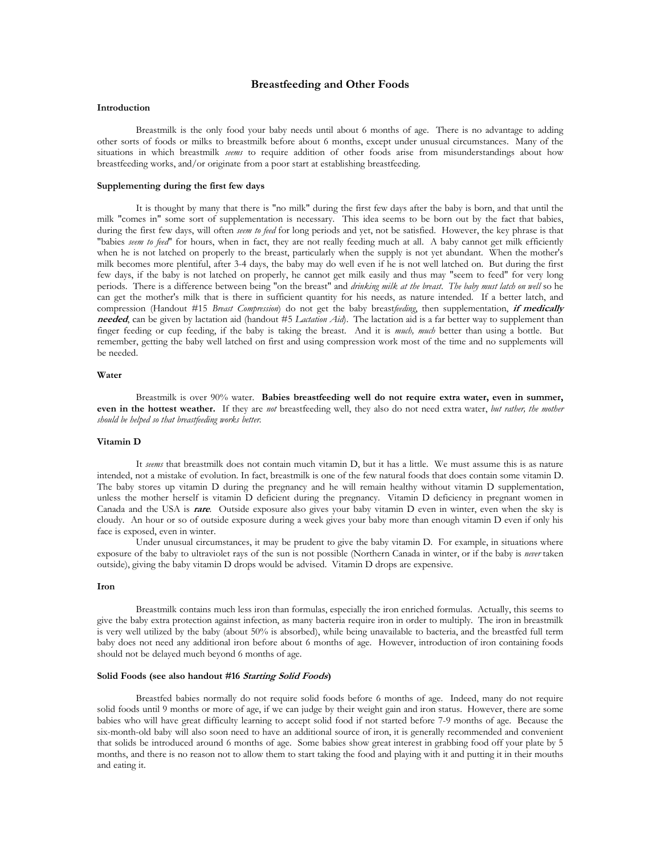# **Breastfeeding and Other Foods**

### **Introduction**

Breastmilk is the only food your baby needs until about 6 months of age. There is no advantage to adding<br>other sorts of foods or milks to breastmilk before about 6 months, except under unusual circumstances. Many of the<br>si breastfeeding works, and/or originate from a poor start at establishing breastfeeding.

## **Supplementing during the first few days**

It is thought by many that there is "no milk" during the first few days after the baby is born, and that until the milk "comes in" some sort of supplementation is necessary. This idea seems to be born out by the fact that "babies seem to feed" for hours, when in fact, they are not really feeding much at all. A baby cannot get milk efficiently when he is not latched on properly to the breast, particularly when the supply is not yet abundant. When the mother's milk becomes more plentiful, after 3-4 days, the baby may do well even if he is not well latched on. But during the first few days, if the baby is not latched on properly, he cannot get milk easily and thus may "seem to feed" for very long<br>periods. There is a difference between being "on the breast" and *drinking milk at the breast. The baby* can get the mother's milk that is there in sufficient quantity for his needs, as nature intended. If a better latch, and compression (Handout #15 Breast Compression) do not get the baby breastfeeding, then supplementation, **needed**, can be given by lactation aid (handout #5 *Lactation Aid*). The lactation aid is a far better way to supplement than finger feeding or cup feeding, if the baby is taking the breast. And it is *much, much* better than using a bottle. But remember, getting the baby well latched on first and using compression work most of the time and no supplements will be needed.

## **Water**

Breastmilk is over 90% water. **Babies breastfeeding well do not require extra water, even in summer,**<br>even in the hottest weather. If they are *not* breastfeeding well, they also do not need extra water, *but rather, the m should be helped so that breastfeeding works better.*

### **Vitamin D**

It *seems* that breastmilk does not contain much vitamin D, but it has a little. We must assume this is as nature intended, not a mistake of evolution. In fact, breastmilk is one of the few natural foods that does contain some vitamin D. The baby stores up vitamin D during the pregnancy and he will remain healthy without vitamin D supplementation, unless the mother herself is vitamin D deficient during the pregnancy. Vitamin D deficiency in pregnant women in Canada and the USA is **rare**. Outside exposure also gives your baby vitamin D even in winter, even when the sky is cloudy. An hour or so of outside exposure during a week gives your baby more than enough vitamin D even if only his face is exposed, even in winter.<br>Under unusual circumstances, it may be prudent to give the baby vitamin D. For example, in situations where

exposure of the baby to ultraviolet rays of the sun is not possible (Northern Canada in winter, or if the baby is never taken outside), giving the baby vitamin D drops would be advised. Vitamin D drops are expensive.

#### **Iron**

Breastmilk contains much less iron than formulas, especially the iron enriched formulas. Actually, this seems to give the baby extra protection against infection, as many bacteria require iron in order to multiply. The iron in breastmilk<br>is very well utilized by the baby (about 50% is absorbed), while being unavailable to bacteria, a baby does not need any additional iron before about 6 months of age. However, introduction of iron containing foods should not be delayed much beyond 6 months of age.

### **Solid Foods (see also handout #16 Starting Solid Foods)**

Breastfed babies normally do not require solid foods before 6 months of age. Indeed, many do not require<br>solid foods until 9 months or more of age, if we can judge by their weight gain and iron status. However, there are s months, and there is no reason not to allow them to start taking the food and playing with it and putting it in their mouths and eating it.